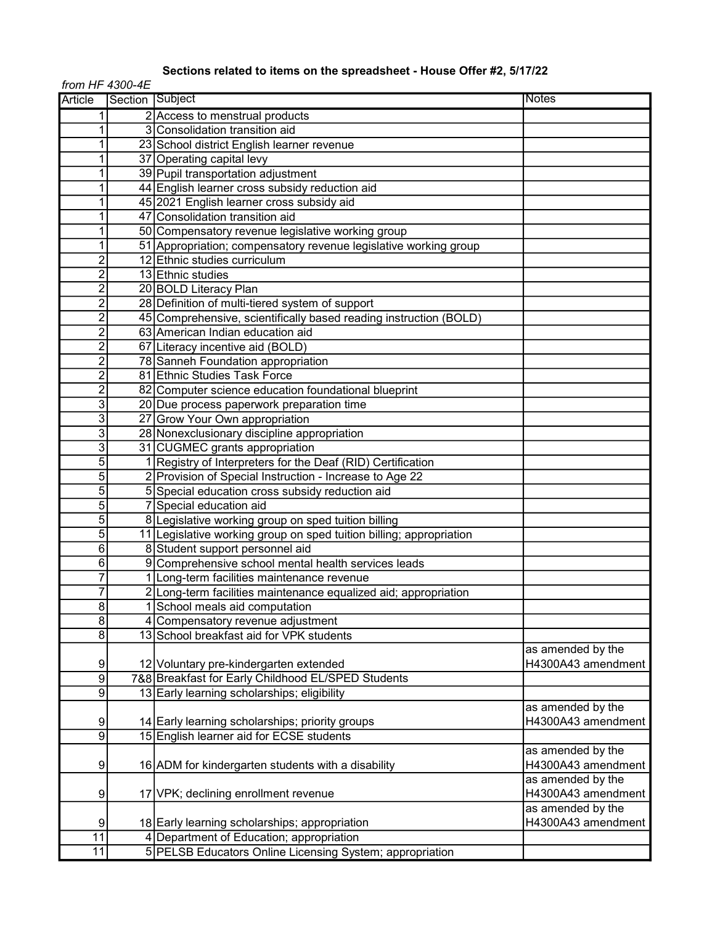## Sections related to items on the spreadsheet - House Offer #2, 5/17/22

from HF 4300-4E

| <b>Article</b> | Section Subject |                                                                     | <b>Notes</b>       |
|----------------|-----------------|---------------------------------------------------------------------|--------------------|
| 1              |                 | 2 Access to menstrual products                                      |                    |
| 1              |                 | 3 Consolidation transition aid                                      |                    |
| 1              |                 | 23 School district English learner revenue                          |                    |
| 1              |                 | 37 Operating capital levy                                           |                    |
| 1              |                 | 39 Pupil transportation adjustment                                  |                    |
| 1              |                 | 44 English learner cross subsidy reduction aid                      |                    |
| 1              |                 | 45 2021 English learner cross subsidy aid                           |                    |
| 1              |                 | 47 Consolidation transition aid                                     |                    |
| 1              |                 | 50 Compensatory revenue legislative working group                   |                    |
| 1              |                 | 51 Appropriation; compensatory revenue legislative working group    |                    |
| $\overline{c}$ |                 | 12 Ethnic studies curriculum                                        |                    |
| $\overline{c}$ |                 | 13 Ethnic studies                                                   |                    |
| $\overline{c}$ |                 | 20 BOLD Literacy Plan                                               |                    |
| $\overline{c}$ |                 | 28 Definition of multi-tiered system of support                     |                    |
| $\overline{c}$ |                 | 45 Comprehensive, scientifically based reading instruction (BOLD)   |                    |
| $\overline{c}$ |                 | 63 American Indian education aid                                    |                    |
| $\overline{c}$ |                 | 67 Literacy incentive aid (BOLD)                                    |                    |
| $\overline{c}$ |                 | 78 Sanneh Foundation appropriation                                  |                    |
| $\overline{c}$ |                 | 81 Ethnic Studies Task Force                                        |                    |
| $\overline{c}$ |                 | 82 Computer science education foundational blueprint                |                    |
| 3              |                 | 20 Due process paperwork preparation time                           |                    |
| 3              |                 | 27 Grow Your Own appropriation                                      |                    |
| 3              |                 | 28 Nonexclusionary discipline appropriation                         |                    |
| 3              |                 | 31 CUGMEC grants appropriation                                      |                    |
| 5              |                 | 1 Registry of Interpreters for the Deaf (RID) Certification         |                    |
| $\overline{5}$ |                 | 2 Provision of Special Instruction - Increase to Age 22             |                    |
| $\overline{5}$ |                 | 5 Special education cross subsidy reduction aid                     |                    |
| $\overline{5}$ |                 | 7 Special education aid                                             |                    |
| 5              |                 | 8 Legislative working group on sped tuition billing                 |                    |
| $\overline{5}$ |                 | 11 Legislative working group on sped tuition billing; appropriation |                    |
| 6              |                 | 8 Student support personnel aid                                     |                    |
| 6              |                 | 9 Comprehensive school mental health services leads                 |                    |
| 7              |                 | 1 Long-term facilities maintenance revenue                          |                    |
| 7              |                 | 2 Long-term facilities maintenance equalized aid; appropriation     |                    |
| 8              |                 | 1 School meals aid computation                                      |                    |
| 8              |                 | 4 Compensatory revenue adjustment                                   |                    |
| 8              |                 | 13 School breakfast aid for VPK students                            |                    |
|                |                 |                                                                     | as amended by the  |
| 9              |                 | 12 Voluntary pre-kindergarten extended                              | H4300A43 amendment |
| 9              |                 | 7&8 Breakfast for Early Childhood EL/SPED Students                  |                    |
| 9              |                 | 13 Early learning scholarships; eligibility                         |                    |
|                |                 |                                                                     | as amended by the  |
| 9              |                 | 14 Early learning scholarships; priority groups                     | H4300A43 amendment |
| $\overline{9}$ |                 | 15 English learner aid for ECSE students                            |                    |
|                |                 |                                                                     | as amended by the  |
| 9              |                 | 16 ADM for kindergarten students with a disability                  | H4300A43 amendment |
|                |                 |                                                                     | as amended by the  |
| 9              |                 | 17 VPK; declining enrollment revenue                                | H4300A43 amendment |
|                |                 |                                                                     | as amended by the  |
| 9              |                 | 18 Early learning scholarships; appropriation                       | H4300A43 amendment |
| 11             |                 | 4 Department of Education; appropriation                            |                    |
| 11             |                 | 5 PELSB Educators Online Licensing System; appropriation            |                    |
|                |                 |                                                                     |                    |